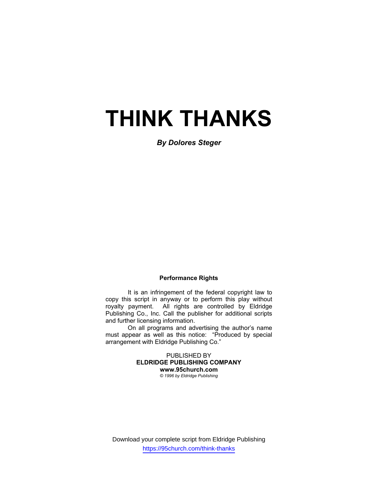# **THINK THANKS**

*By Dolores Steger* 

#### **Performance Rights**

 It is an infringement of the federal copyright law to copy this script in anyway or to perform this play without royalty payment. All rights are controlled by Eldridge Publishing Co., Inc. Call the publisher for additional scripts and further licensing information.

 On all programs and advertising the author's name must appear as well as this notice: "Produced by special arrangement with Eldridge Publishing Co."

> PUBLISHED BY **ELDRIDGE PUBLISHING COMPANY www.95church.com**  *© 1996 by Eldridge Publishing*

Download your complete script from Eldridge Publishing https://95church.com/think-thanks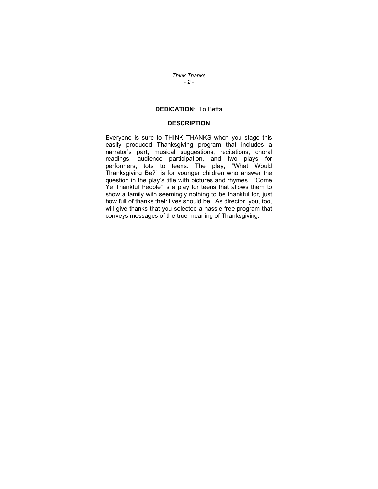*Think Thanks - 2 -* 

### **DEDICATION**: To Betta

#### **DESCRIPTION**

Everyone is sure to THINK THANKS when you stage this easily produced Thanksgiving program that includes a narrator's part, musical suggestions, recitations, choral readings, audience participation, and two plays for performers, tots to teens. The play, "What Would Thanksgiving Be?" is for younger children who answer the question in the play's title with pictures and rhymes. "Come Ye Thankful People" is a play for teens that allows them to show a family with seemingly nothing to be thankful for, just how full of thanks their lives should be. As director, you, too, will give thanks that you selected a hassle-free program that conveys messages of the true meaning of Thanksgiving.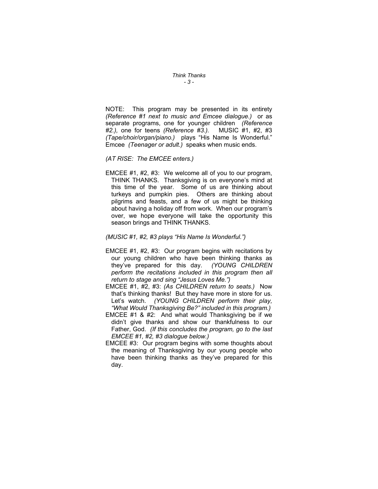*Think Thanks - 3 -* 

NOTE: This program may be presented in its entirety *(Reference #1 next to music and Emcee dialogue.)* or as separate programs, one for younger children *(Reference #2.),* one for teens *(Reference #3.).* MUSIC #1, #2, #3 *(Tape/choir/organ/piano.)* plays "His Name Is Wonderful." Emcee *(Teenager or adult.)* speaks when music ends.

#### *(AT RISE: The EMCEE enters.)*

EMCEE #1, #2, #3: We welcome all of you to our program, THINK THANKS. Thanksgiving is on everyone's mind at this time of the year. Some of us are thinking about turkeys and pumpkin pies. Others are thinking about pilgrims and feasts, and a few of us might be thinking about having a holiday off from work. When our program's over, we hope everyone will take the opportunity this season brings and THINK THANKS.

#### *(MUSIC #1, #2, #3 plays "His Name Is Wonderful.")*

- EMCEE #1, #2, #3: Our program begins with recitations by our young children who have been thinking thanks as they've prepared for this day. *(YOUNG CHILDREN perform the recitations included in this program then all return to stage and sing "Jesus Loves Me.")*
- EMCEE #1, #2, #3: *(As CHILDREN return to seats.)* Now that's thinking thanks! But they have more in store for us. Let's watch. *(YOUNG CHILDREN perform their play, "What Would Thanksgiving Be?" included in this program.)*
- EMCEE #1 & #2: And what would Thanksgiving be if we didn't give thanks and show our thankfulness to our Father, God. *(If this concludes the program, go to the last EMCEE #1, #2, #3 dialogue below.)*
- EMCEE #3: Our program begins with some thoughts about the meaning of Thanksgiving by our young people who have been thinking thanks as they've prepared for this day.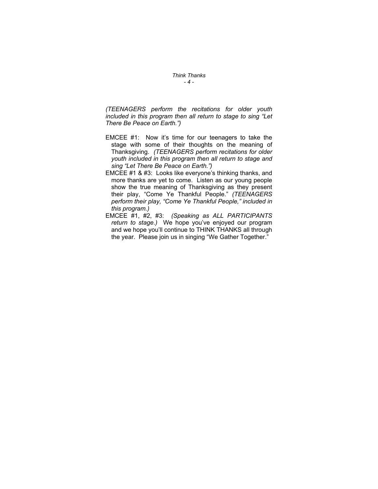*Think Thanks - 4 -* 

*(TEENAGERS perform the recitations for older youth included in this program then all return to stage to sing "Let There Be Peace on Earth.")* 

- EMCEE #1: Now it's time for our teenagers to take the stage with some of their thoughts on the meaning of Thanksgiving. *(TEENAGERS perform recitations for older youth included in this program then all return to stage and sing "Let There Be Peace on Earth.")*
- EMCEE #1 & #3: Looks like everyone's thinking thanks, and more thanks are yet to come. Listen as our young people show the true meaning of Thanksgiving as they present their play, "Come Ye Thankful People." *(TEENAGERS perform their play, "Come Ye Thankful People," included in this program.)*
- EMCEE #1, #2, #3: *(Speaking as ALL PARTICIPANTS return to stage.)* We hope you've enjoyed our program and we hope you'll continue to THINK THANKS all through the year. Please join us in singing "We Gather Together."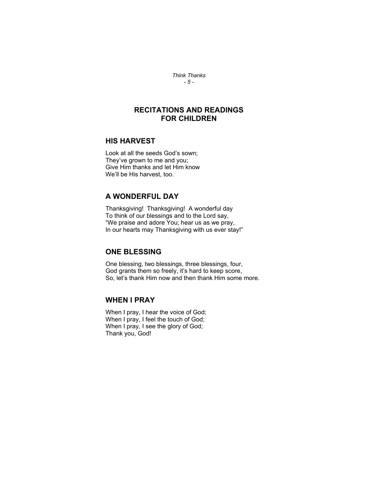*Think Thanks - 5 -* 

# **RECITATIONS AND READINGS FOR CHILDREN**

#### **HIS HARVEST**

Look at all the seeds God's sown; They've grown to me and you; Give Him thanks and let Him know We'll be His harvest, too.

## **A WONDERFUL DAY**

Thanksgiving! Thanksgiving! A wonderful day To think of our blessings and to the Lord say, "We praise and adore You; hear us as we pray, In our hearts may Thanksgiving with us ever stay!"

# **ONE BLESSING**

One blessing, two blessings, three blessings, four, God grants them so freely, it's hard to keep score, So, let's thank Him now and then thank Him some more.

# **WHEN I PRAY**

When I pray, I hear the voice of God; When I pray, I feel the touch of God; When I pray, I see the glory of God; Thank you, God!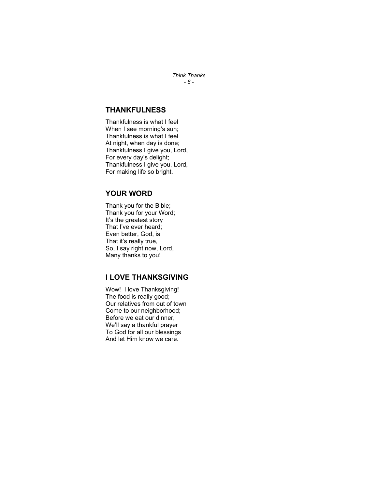*Think Thanks - 6 -* 

## **THANKFULNESS**

Thankfulness is what I feel When I see morning's sun; Thankfulness is what I feel At night, when day is done; Thankfulness I give you, Lord, For every day's delight; Thankfulness I give you, Lord, For making life so bright.

# **YOUR WORD**

Thank you for the Bible; Thank you for your Word; It's the greatest story That I've ever heard; Even better, God, is That it's really true, So, I say right now, Lord, Many thanks to you!

# **I LOVE THANKSGIVING**

Wow! I love Thanksgiving! The food is really good; Our relatives from out of town Come to our neighborhood; Before we eat our dinner, We'll say a thankful prayer To God for all our blessings And let Him know we care.